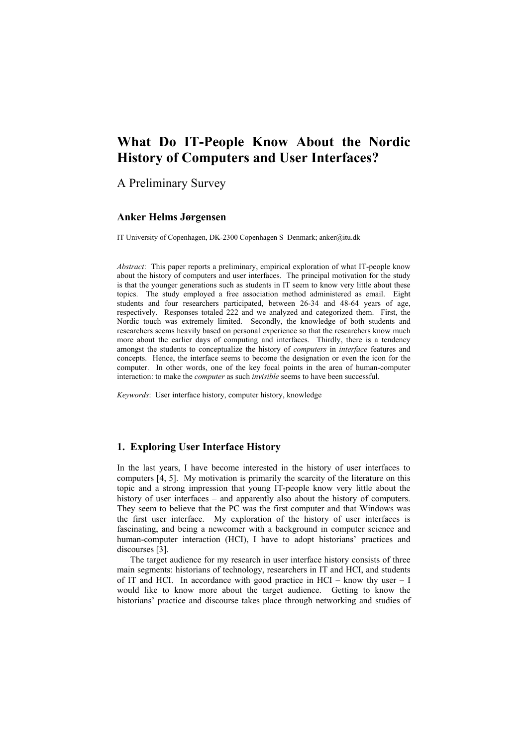# **What Do IT-People Know About the Nordic History of Computers and User Interfaces?**

A Preliminary Survey

#### **Anker Helms Jørgensen**

IT University of Copenhagen, DK-2300 Copenhagen S Denmark; anker@itu.dk

*Abstract*: This paper reports a preliminary, empirical exploration of what IT-people know about the history of computers and user interfaces. The principal motivation for the study is that the younger generations such as students in IT seem to know very little about these topics. The study employed a free association method administered as email. Eight students and four researchers participated, between 26-34 and 48-64 years of age, respectively. Responses totaled 222 and we analyzed and categorized them. First, the Nordic touch was extremely limited. Secondly, the knowledge of both students and researchers seems heavily based on personal experience so that the researchers know much more about the earlier days of computing and interfaces. Thirdly, there is a tendency amongst the students to conceptualize the history of *computers* in *interface* features and concepts. Hence, the interface seems to become the designation or even the icon for the computer. In other words, one of the key focal points in the area of human-computer interaction: to make the *computer* as such *invisible* seems to have been successful.

*Keywords*: User interface history, computer history, knowledge

#### **1. Exploring User Interface History**

In the last years, I have become interested in the history of user interfaces to computers [4, 5]. My motivation is primarily the scarcity of the literature on this topic and a strong impression that young IT-people know very little about the history of user interfaces – and apparently also about the history of computers. They seem to believe that the PC was the first computer and that Windows was the first user interface. My exploration of the history of user interfaces is fascinating, and being a newcomer with a background in computer science and human-computer interaction (HCI), I have to adopt historians' practices and discourses [3].

<span id="page-0-0"></span>The target audience for my research in user interface history consists of three main segments: historians of technology, researchers in IT and HCI, and students of IT and HCI. In accordance with good practice in HCI – know thy user – I would like to know more about the target audience. Getting to know the historians' practice and discourse takes place through networking and studies of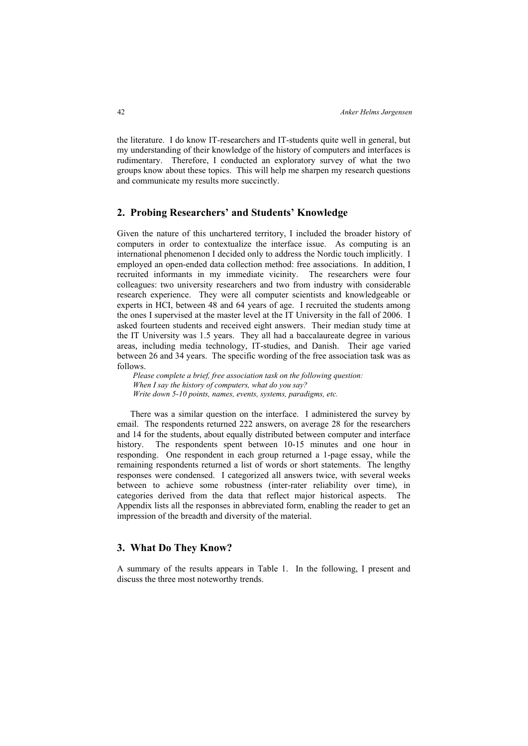the literature. I do know IT-researchers and IT-students quite well in general, but my understanding of their knowledge of the history of computers and interfaces is rudimentary. Therefore, I conducted an exploratory survey of what the two groups know about these topics. This will help me sharpen my research questions and communicate my results more succinctly.

#### **2. Probing Researchers' and Students' Knowledge**

Given the nature of this unchartered territory, I included the broader history of computers in order to contextualize the interface issue. As computing is an international phenomenon I decided only to address the Nordic touch implicitly. I employed an open-ended data collection method: free associations. In addition, I recruited informants in my immediate vicinity. The researchers were four colleagues: two university researchers and two from industry with considerable research experience. They were all computer scientists and knowledgeable or experts in HCI, between 48 and 64 years of age. I recruited the students among the ones I supervised at the master level at the IT University in the fall of 2006. I asked fourteen students and received eight answers. Their median study time at the IT University was 1.5 years. They all had a baccalaureate degree in various areas, including media technology, IT-studies, and Danish. Their age varied between 26 and 34 years. The specific wording of the free association task was as follows.

*Please complete a brief, free association task on the following question: When I say the history of computers, what do you say? Write down 5-10 points, names, events, systems, paradigms, etc.* 

There was a similar question on the interface. I administered the survey by email. The respondents returned 222 answers, on average 28 for the researchers and 14 for the students, about equally distributed between computer and interface history. The respondents spent between 10-15 minutes and one hour in responding. One respondent in each group returned a 1-page essay, while the remaining respondents returned a list of words or short statements. The lengthy responses were condensed. I categorized all answers twice, with several weeks between to achieve some robustness (inter-rater reliability over time), in categories derived from the data that reflect major historical aspects. The Appendix lists all the responses in abbreviated form, enabling the reader to get an impression of the breadth and diversity of the material.

### **3. What Do They Know?**

A summary of the results appears in Table 1. In the following, I present and discuss the three most noteworthy trends.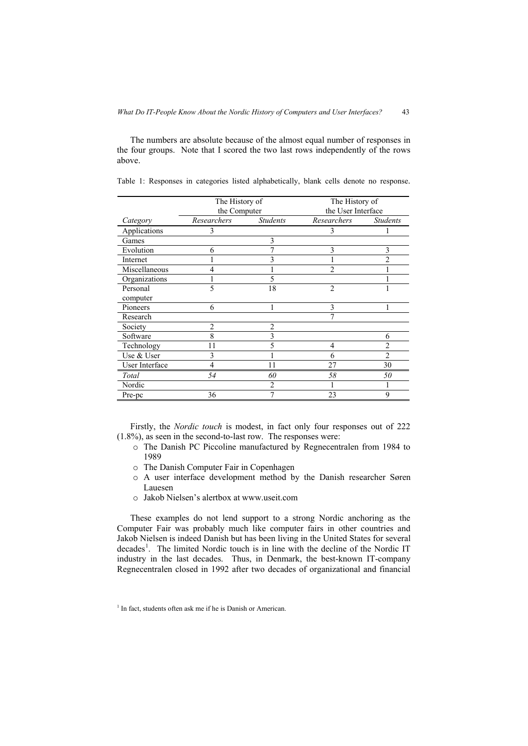The numbers are absolute because of the almost equal number of responses in the four groups. Note that I scored the two last rows independently of the rows above.

|                | The History of |                 | The History of     |                 |
|----------------|----------------|-----------------|--------------------|-----------------|
|                | the Computer   |                 | the User Interface |                 |
| Category       | Researchers    | <b>Students</b> | Researchers        | <b>Students</b> |
| Applications   | 3              |                 | 3                  |                 |
| Games          |                | 3               |                    |                 |
| Evolution      | 6              |                 | 3                  | 3               |
| Internet       |                |                 |                    | $\mathfrak{D}$  |
| Miscellaneous  | 4              |                 | 2                  |                 |
| Organizations  |                | 5               |                    |                 |
| Personal       | 5              | 18              | $\overline{2}$     |                 |
| computer       |                |                 |                    |                 |
| Pioneers       | 6              |                 | 3                  |                 |
| Research       |                |                 |                    |                 |
| Society        | $\overline{c}$ | $\overline{2}$  |                    |                 |
| Software       | 8              | 3               |                    | 6               |
| Technology     | 11             | 5               | 4                  | $\mathfrak{D}$  |
| Use & User     | 3              |                 | 6                  | $\overline{2}$  |
| User Interface | 4              | 11              | 27                 | 30              |
| Total          | 54             | 60              | 58                 | 50              |
| Nordic         |                | 2               |                    |                 |
| Pre-pc         | 36             |                 | 23                 | 9               |

Table 1: Responses in categories listed alphabetically, blank cells denote no response.

Firstly, the *Nordic touch* is modest, in fact only four responses out of 222 (1.8%), as seen in the second-to-last row. The responses were:

- o The Danish PC Piccoline manufactured by Regnecentralen from 1984 to 1989
- o The Danish Computer Fair in Copenhagen
- o A user interface development method by the Danish researcher Søren Lauesen
- o Jakob Nielsen's alertbox at [www.useit.com](http://www.useit.com/)

These examples do not lend support to a strong Nordic anchoring as the Computer Fair was probably much like computer fairs in other countries and Jakob Nielsen is indeed Danish but has been living in the United States for several decades<sup>[1](#page-0-0)</sup>. The limited Nordic touch is in line with the decline of the Nordic IT industry in the last decades. Thus, in Denmark, the best-known IT-company Regnecentralen closed in 1992 after two decades of organizational and financial

<sup>&</sup>lt;sup>1</sup> In fact, students often ask me if he is Danish or American.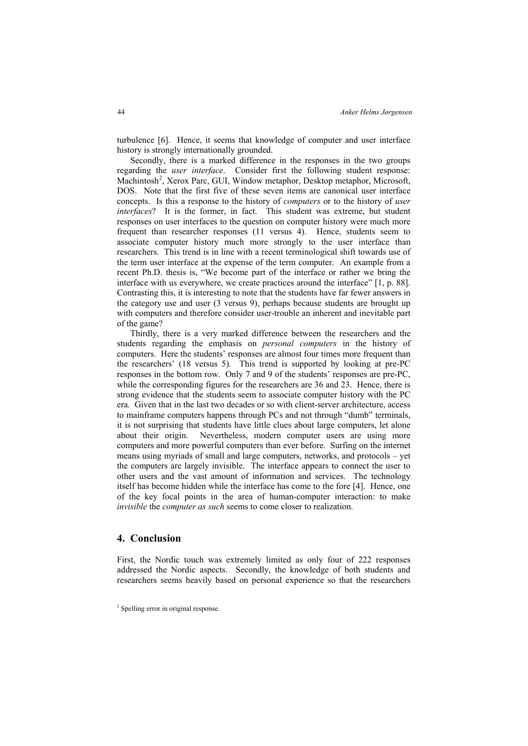turbulence [6]. Hence, it seems that knowledge of computer and user interface history is strongly internationally grounded.

Secondly, there is a marked difference in the responses in the two groups regarding the *user interface*. Consider first the following student response: Machintosh<sup>[2](#page-0-0)</sup>, Xerox Parc, GUI, Window metaphor, Desktop metaphor, Microsoft, DOS. Note that the first five of these seven items are canonical user interface concepts. Is this a response to the history of *computers* or to the history of *user interfaces*? It is the former, in fact. This student was extreme, but student responses on user interfaces to the question on computer history were much more frequent than researcher responses (11 versus 4). Hence, students seem to associate computer history much more strongly to the user interface than researchers. This trend is in line with a recent terminological shift towards use of the term user interface at the expense of the term computer. An example from a recent Ph.D. thesis is, "We become part of the interface or rather we bring the interface with us everywhere, we create practices around the interface" [1, p. 88]. Contrasting this, it is interesting to note that the students have far fewer answers in the category use and user (3 versus 9), perhaps because students are brought up with computers and therefore consider user-trouble an inherent and inevitable part of the game?

Thirdly, there is a very marked difference between the researchers and the students regarding the emphasis on *personal computers* in the history of computers. Here the students' responses are almost four times more frequent than the researchers' (18 versus 5). This trend is supported by looking at pre-PC responses in the bottom row. Only 7 and 9 of the students' responses are pre-PC, while the corresponding figures for the researchers are 36 and 23. Hence, there is strong evidence that the students seem to associate computer history with the PC era. Given that in the last two decades or so with client-server architecture, access to mainframe computers happens through PCs and not through "dumb" terminals, it is not surprising that students have little clues about large computers, let alone about their origin. Nevertheless, modern computer users are using more computers and more powerful computers than ever before. Surfing on the internet means using myriads of small and large computers, networks, and protocols – yet the computers are largely invisible. The interface appears to connect the user to other users and the vast amount of information and services. The technology itself has become hidden while the interface has come to the fore [4]. Hence, one of the key focal points in the area of human-computer interaction: to make *invisible* the *computer as such* seems to come closer to realization.

#### **4. Conclusion**

First, the Nordic touch was extremely limited as only four of 222 responses addressed the Nordic aspects. Secondly, the knowledge of both students and researchers seems heavily based on personal experience so that the researchers

<sup>2</sup> Spelling error in original response.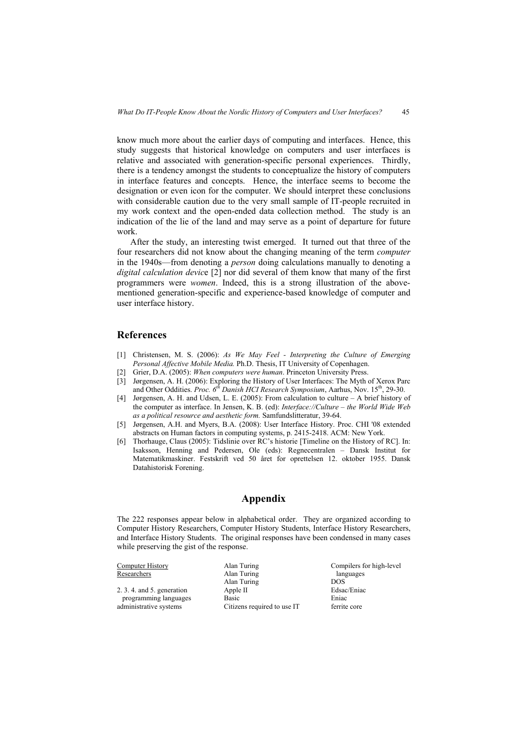know much more about the earlier days of computing and interfaces. Hence, this study suggests that historical knowledge on computers and user interfaces is relative and associated with generation-specific personal experiences. Thirdly, there is a tendency amongst the students to conceptualize the history of computers in interface features and concepts. Hence, the interface seems to become the designation or even icon for the computer. We should interpret these conclusions with considerable caution due to the very small sample of IT-people recruited in my work context and the open-ended data collection method. The study is an indication of the lie of the land and may serve as a point of departure for future work.

After the study, an interesting twist emerged. It turned out that three of the four researchers did not know about the changing meaning of the term *computer* in the 1940s—from denoting a *person* doing calculations manually to denoting a *digital calculation devic*e [2] nor did several of them know that many of the first programmers were *women*. Indeed, this is a strong illustration of the abovementioned generation-specific and experience-based knowledge of computer and user interface history.

#### **References**

- [1] Christensen, M. S. (2006): *As We May Feel Interpreting the Culture of Emerging Personal Affective Mobile Media.* Ph.D. Thesis, IT University of Copenhagen.
- [2] Grier, D.A. (2005): *When computers were human*. Princeton University Press.
- [3] Jørgensen, A. H. (2006): Exploring the History of User Interfaces: The Myth of Xerox Parc
- and Other Oddities. *Proc. 6th Danish HCI Research Symposium*, Aarhus, Nov. 15th, 29-30.
- [4] Jørgensen, A. H. and Udsen, L. E. (2005): From calculation to culture A brief history of the computer as interface. In Jensen, K. B. (ed): *Interface://Culture – the World Wide Web as a political resource and aesthetic form.* Samfundslitteratur, 39-64.
- [5] Jørgensen, A.H. and Myers, B.A. (2008): User Interface History. Proc. CHI '08 extended abstracts on Human factors in computing systems, p. 2415-2418. ACM: New York.
- [6] Thorhauge, Claus (2005): Tidslinie over RC's historie [Timeline on the History of RC]. In: Isaksson, Henning and Pedersen, Ole (eds): Regnecentralen – Dansk Institut for Matematikmaskiner. Festskrift ved 50 året for oprettelsen 12. oktober 1955. Dansk Datahistorisk Forening.

## **Appendix**

The 222 responses appear below in alphabetical order. They are organized according to Computer History Researchers, Computer History Students, Interface History Researchers, and Interface History Students. The original responses have been condensed in many cases while preserving the gist of the response.

| <b>Computer History</b>      | Alan Turing                 | Compilers for high-level |
|------------------------------|-----------------------------|--------------------------|
| Researchers                  | Alan Turing                 | languages                |
|                              | Alan Turing                 | <b>DOS</b>               |
| $2.3.4.$ and $5.$ generation | Apple II                    | Edsac/Eniac              |
| programming languages        | Basic                       | Eniac                    |
| administrative systems       | Citizens required to use IT | ferrite core             |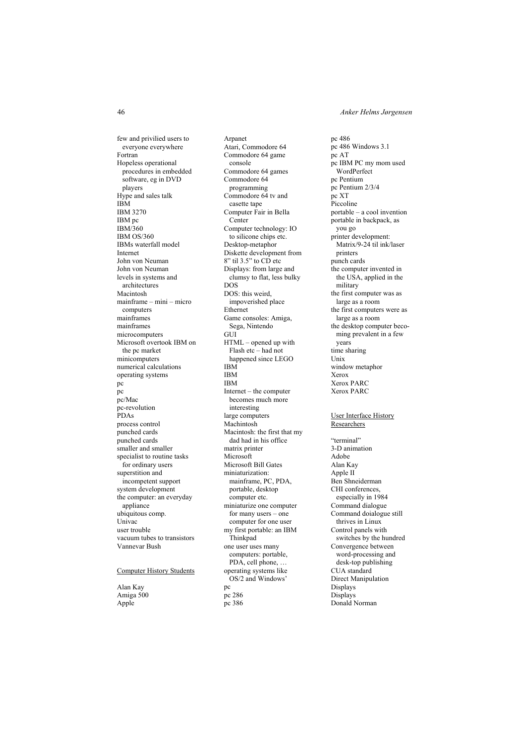46 *Anker Helms Jørgensen* 

few and privilied users to everyone everywhere Fortran Hopeless operational procedures in embedded software, eg in DVD players Hype and sales talk IBM IBM 3270 IBM pc IBM/360 IBM OS/360 IBMs waterfall model Internet John von Neuman John von Neuman levels in systems and architectures Macintosh mainframe – mini – micro computers mainframes mainframes microcomputers Microsoft overtook IBM on the pc market minicomputers numerical calculations operating systems pc pc pc/Mac pc-revolution PDAs process control punched cards punched cards smaller and smaller specialist to routine tasks for ordinary users superstition and incompetent support system development the computer: an everyday appliance ubiquitous comp. Univac user trouble vacuum tubes to transistors Vannevar Bush Computer History Students

Alan Kay Amiga 500 Apple

Arpanet Atari, Commodore 64 Commodore 64 game console Commodore 64 games Commodore 64 programming Commodore 64 tv and casette tape Computer Fair in Bella **Center** Computer technology: IO to silicone chips etc. Desktop-metaphor Diskette development from 8" til 3.5" to CD etc Displays: from large and clumsy to flat, less bulky DOS DOS: this weird, impoverished place Ethernet Game consoles: Amiga, Sega, Nintendo  $GUT$ HTML – opened up with Flash etc – had not happened since LEGO IBM IBM IBM Internet – the computer becomes much more interesting large computers Machintosh Macintosh: the first that my dad had in his office matrix printer **Microsoft** Microsoft Bill Gates miniaturization: mainframe, PC, PDA, portable, desktop computer etc. miniaturize one computer for many users – one computer for one user my first portable: an IBM Thinkpad one user uses many computers: portable, PDA, cell phone, … operating systems like OS/2 and Windows' pc pc 286 pc 386

pc 486 pc 486 Windows 3.1 pc AT pc IBM PC my mom used WordPerfect pc Pentium pc Pentium 2/3/4 pc XT Piccoline portable – a cool invention portable in backpack, as you go printer development: Matrix/9-24 til ink/laser printers punch cards the computer invented in the USA, applied in the military the first computer was as large as a room the first computers were as large as a room the desktop computer becoming prevalent in a few years time sharing Unix window metaphor Xerox Xerox PARC Xerox PARC

#### User Interface History **Researchers**

"terminal" 3-D animation Adobe Alan Kay Apple II Ben Shneiderman CHI conferences, especially in 1984 Command dialogue Command doialogue still thrives in Linux Control panels with switches by the hundred Convergence between word-processing and desk-top publishing CUA standard Direct Manipulation Displays Displays Donald Norman